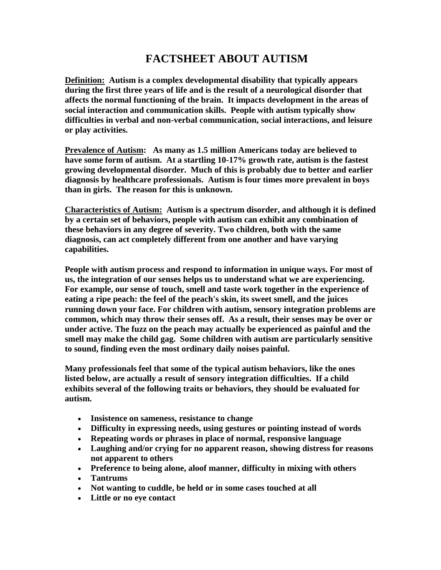## **FACTSHEET ABOUT AUTISM**

**Definition: Autism is a complex developmental disability that typically appears during the first three years of life and is the result of a neurological disorder that affects the normal functioning of the brain. It impacts development in the areas of social interaction and communication skills. People with autism typically show difficulties in verbal and non-verbal communication, social interactions, and leisure or play activities.** 

**Prevalence of Autism: As many as 1.5 million Americans today are believed to have some form of autism. At a startling 10-17% growth rate, autism is the fastest growing developmental disorder. Much of this is probably due to better and earlier diagnosis by healthcare professionals. Autism is four times more prevalent in boys than in girls. The reason for this is unknown.**

**Characteristics of Autism: Autism is a spectrum disorder, and although it is defined by a certain set of behaviors, people with autism can exhibit any combination of these behaviors in any degree of severity. Two children, both with the same diagnosis, can act completely different from one another and have varying capabilities.**

**People with autism process and respond to information in unique ways. For most of us, the integration of our senses helps us to understand what we are experiencing. For example, our sense of touch, smell and taste work together in the experience of eating a ripe peach: the feel of the peach's skin, its sweet smell, and the juices running down your face. For children with autism, sensory integration problems are common, which may throw their senses off. As a result, their senses may be over or under active. The fuzz on the peach may actually be experienced as painful and the smell may make the child gag. Some children with autism are particularly sensitive to sound, finding even the most ordinary daily noises painful.** 

**Many professionals feel that some of the typical autism behaviors, like the ones listed below, are actually a result of sensory integration difficulties. If a child exhibits several of the following traits or behaviors, they should be evaluated for autism.**

- **Insistence on sameness, resistance to change**
- **Difficulty in expressing needs, using gestures or pointing instead of words**
- **Repeating words or phrases in place of normal, responsive language**
- **Laughing and/or crying for no apparent reason, showing distress for reasons not apparent to others**
- **Preference to being alone, aloof manner, difficulty in mixing with others**
- **Tantrums**
- **Not wanting to cuddle, be held or in some cases touched at all**
- **Little or no eye contact**